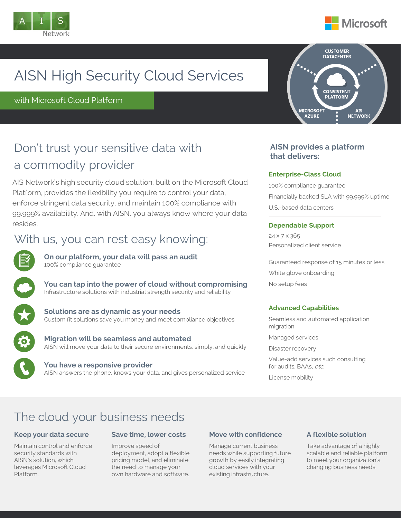



# AISN High Security Cloud Services

with Microsoft Cloud Platform

## Don't trust your sensitive data with a commodity provider

AIS Network's high security cloud solution, built on the Microsoft Cloud Platform, provides the flexibility you require to control your data, enforce stringent data security, and maintain 100% compliance with 99.999% availability. And, with AISN, you always know where your data resides.

## With us, you can rest easy knowing:



**On our platform, your data will pass an audit** 100% compliance guarantee

**You can tap into the power of cloud without compromising** Infrastructure solutions with industrial strength security and reliability



**Solutions are as dynamic as your needs** Custom fit solutions save you money and meet compliance objectives

**Migration will be seamless and automated** AISN will move your data to their secure environments, simply, and quickly

**You have a responsive provider** AISN answers the phone, knows your data, and gives personalized service



### **AISN provides a platform that delivers:**

### **Enterprise-Class Cloud**

100% compliance guarantee Financially backed SLA with 99.999% uptime U.S.-based data centers

### **Dependable Support**

24 x 7 x 365 Personalized client service

Guaranteed response of 15 minutes or less White glove onboarding No setup fees

### **Advanced Capabilities**

Seamless and automated application migration

Managed services

Disaster recovery

Value-add services such consulting for audits, BAAs, etc.

License mobility

## The cloud your business needs

### **Keep your data secure**

Maintain control and enforce security standards with AISN's solution, which leverages Microsoft Cloud Platform.

### **Save time, lower costs**

Improve speed of deployment, adopt a flexible pricing model, and eliminate the need to manage your own hardware and software.

### **Move with confidence**

Manage current business needs while supporting future growth by easily integrating cloud services with your existing infrastructure.

### **A flexible solution**

Take advantage of a highly scalable and reliable platform to meet your organization's changing business needs.